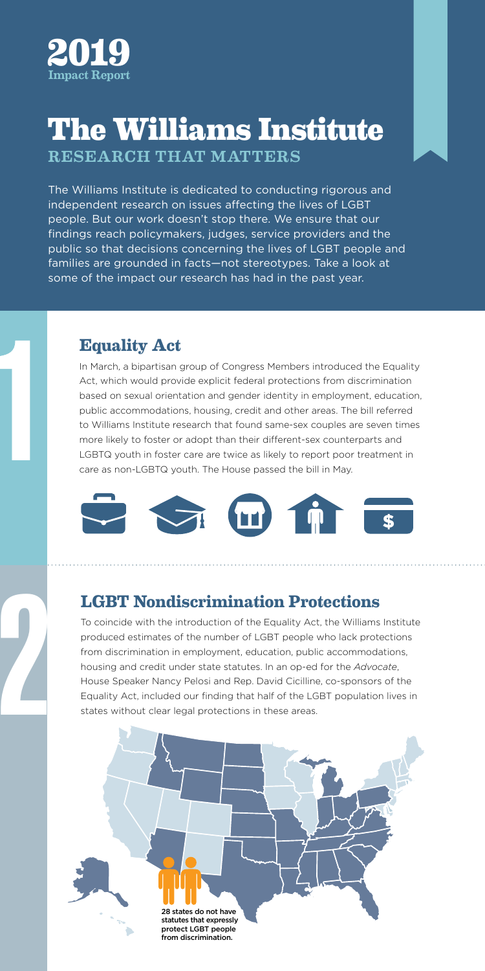

# **The Williams Institute The Williams Institute**

RESEARCH THAT MATTERS **REAL-WORLD REAL-WORLD REAL-WORLD REAL-WORLD REAL-WORLD REAL-WORLD RE** 

The Williams Institute is dedicated to conducting rigorous and **interpact and** The williams institute is dedicated to conducting rigorods and williams institute is dedicated to conducting rigorods and .<br>people. But our work doesn't stop there. We ensure that our findings reach policymakers, judges, service providers and the metal control public so that decisions concerning the lives of LGBT people and families are grounded in facts—not stereotypes. Take a look at some of the impact our research has had in the past year.

### **Equality Act**

In March, a bipartisan group of Congress Members introduced the Equality Act, which would provide explicit federal protections from discrimination based on sexual orientation and gender identity in employment, education, public accommodations, housing, credit and other areas. The bill referred to Williams Institute research that found same-sex couples are seven times more likely to foster or adopt than their different-sex counterparts and **Equality Act**<br>
In March, a bipartisan group of Congress Members introduced the Equality<br>
Act, which would provide explicit federal protections from discrimination<br>
based on sexual orientation and gender identity in employ care as non-LGBTQ youth. The House passed the bill in May.



## **LGBT Nondiscrimination Protections**

To coincide with the introduction of the Equality Act, the Williams Institute produced estimates of the number of LGBT people who lack protections from discrimination in employment, education, public accommodations, housing and credit under state statutes. In an op-ed for the *Advocate*, House Speaker Nancy Pelosi and Rep. David Cicilline, co-sponsors of the Equality Act, included our finding that half of the LGBT population lives in states without clear legal protections in these areas.